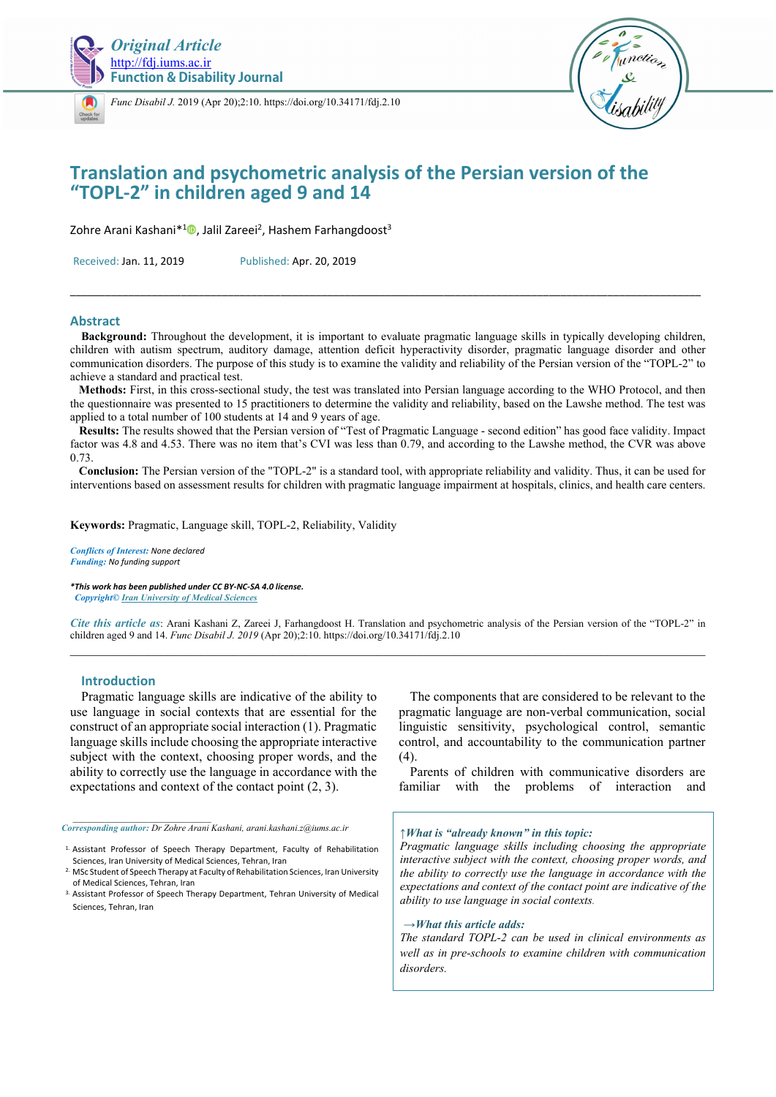



*[Func D](https://crossmark.crossref.org/dialog/?doi=10.34171/fdj.2.10)isabil J.* 2019 (Apr 20);2:10. https://doi.org/10.34171/fdj.2.10



# **Translation and psychometric analysis of the Persian version of the "TOPL-2" in children aged 9 and 14**

Zohre Arani Kashani\*<sup>1</sup><sup>0</sup>, Jalil Zareei<sup>2</sup>, Hashem Farhangdoost<sup>3</sup>

Received: Jan. 11, 2019 Published: Apr. 20, 2019

# **Abstract**

**Background:** Throughout the development, it is important to evaluate pragmatic language skills in typically developing children, children with autism spectrum, auditory damage, attention deficit hyperactivity disorder, pragmatic language disorder and other communication disorders. The purpose of this study is to examine the validity and reliability of the Persian version of the "TOPL-2" to achieve a standard and practical test.

\_\_\_\_\_\_\_\_\_\_\_\_\_\_\_\_\_\_\_\_\_\_\_\_\_\_\_\_\_\_\_\_\_\_\_\_\_\_\_\_\_\_\_\_\_\_\_\_\_\_\_\_\_\_\_\_\_\_\_\_\_\_\_\_\_\_\_\_\_\_\_\_\_\_\_\_\_\_\_\_\_\_\_\_\_\_\_\_\_\_\_\_\_\_\_\_\_\_\_\_\_\_\_\_\_\_\_\_

 **Methods:** First, in this cross-sectional study, the test was translated into Persian language according to the WHO Protocol, and then the questionnaire was presented to 15 practitioners to determine the validity and reliability, based on the Lawshe method. The test was applied to a total number of 100 students at 14 and 9 years of age.

 **Results:** The results showed that the Persian version of "Test of Pragmatic Language - second edition" has good face validity. Impact factor was 4.8 and 4.53. There was no item that's CVI was less than 0.79, and according to the Lawshe method, the CVR was above 0.73.

 **Conclusion:** The Persian version of the "TOPL-2" is a standard tool, with appropriate reliability and validity. Thus, it can be used for interventions based on assessment results for children with pragmatic language impairment at hospitals, clinics, and health care centers.

**Keywords:** Pragmatic, Language skill, TOPL-2, Reliability, Validity

*Conflicts of Interest: None declared Funding: No funding support*

*\*This work has been published under CC BY-NC-SA 4.0 license. Copyright© Iran University of Medical Sciences* 

*Cite this article as*: Arani Kashani Z, Zareei J, Farhangdoost H. Translation and psychometric analysis of the Persian version of the "TOPL-2" in children aged 9 and 14. *Func Disabil J. 2019* (Apr 20);2:10. https://doi.org/10.34171/fdj.2.10  $\_$  , and the state of the state of the state of the state of the state of the state of the state of the state of the state of the state of the state of the state of the state of the state of the state of the state of the

# **Introduction**

*\_\_\_\_\_\_\_\_\_\_\_\_\_\_\_\_\_\_\_\_\_\_\_\_\_\_\_\_\_\_* 

Pragmatic language skills are indicative of the ability to use language in social contexts that are essential for the construct of an appropriate social interaction (1). Pragmatic language skills include choosing the appropriate interactive subject with the context, choosing proper words, and the ability to correctly use the language in accordance with the expectations and context of the contact point (2, 3).

*Corresponding author: Dr Zohre Arani Kashani, arani.kashani.z@iums.ac.ir* 

The components that are considered to be relevant to the pragmatic language are non-verbal communication, social linguistic sensitivity, psychological control, semantic control, and accountability to the communication partner  $(4)$ .

Parents of children with communicative disorders are familiar with the problems of interaction and

# *↑What is "already known" in this topic:*

*Pragmatic language skills including choosing the appropriate interactive subject with the context, choosing proper words, and the ability to correctly use the language in accordance with the expectations and context of the contact point are indicative of the ability to use language in social contexts.* 

#### *→What this article adds:*

*The standard TOPL-2 can be used in clinical environments as well as in pre-schools to examine children with communication disorders.* 

<sup>1.</sup> Assistant Professor of Speech Therapy Department, Faculty of Rehabilitation Sciences, Iran University of Medical Sciences, Tehran, Iran

<sup>&</sup>lt;sup>2.</sup> MSc Student of Speech Therapy at Faculty of Rehabilitation Sciences, Iran University of Medical Sciences, Tehran, Iran

<sup>&</sup>lt;sup>3.</sup> Assistant Professor of Speech Therapy Department, Tehran University of Medical Sciences, Tehran, Iran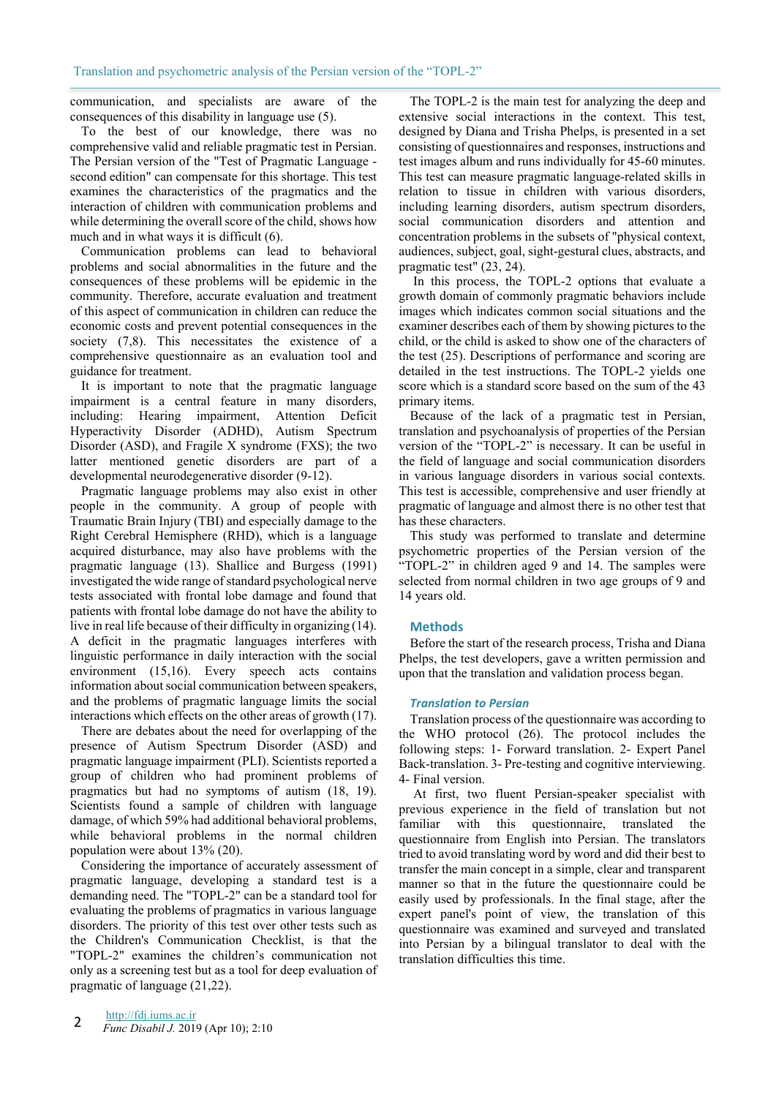communication, and specialists are aware of the consequences of this disability in language use (5).

To the best of our knowledge, there was no comprehensive valid and reliable pragmatic test in Persian. The Persian version of the "Test of Pragmatic Language second edition" can compensate for this shortage. This test examines the characteristics of the pragmatics and the interaction of children with communication problems and while determining the overall score of the child, shows how much and in what ways it is difficult (6).

Communication problems can lead to behavioral problems and social abnormalities in the future and the consequences of these problems will be epidemic in the community. Therefore, accurate evaluation and treatment of this aspect of communication in children can reduce the economic costs and prevent potential consequences in the society (7,8). This necessitates the existence of a comprehensive questionnaire as an evaluation tool and guidance for treatment.

It is important to note that the pragmatic language impairment is a central feature in many disorders, including: Hearing impairment, Attention Deficit Hyperactivity Disorder (ADHD), Autism Spectrum Disorder (ASD), and Fragile X syndrome (FXS); the two latter mentioned genetic disorders are part of a developmental neurodegenerative disorder (9-12).

Pragmatic language problems may also exist in other people in the community. A group of people with Traumatic Brain Injury (TBI) and especially damage to the Right Cerebral Hemisphere (RHD), which is a language acquired disturbance, may also have problems with the pragmatic language (13). Shallice and Burgess (1991) investigated the wide range of standard psychological nerve tests associated with frontal lobe damage and found that patients with frontal lobe damage do not have the ability to live in real life because of their difficulty in organizing (14). A deficit in the pragmatic languages interferes with linguistic performance in daily interaction with the social environment (15,16). Every speech acts contains information about social communication between speakers, and the problems of pragmatic language limits the social interactions which effects on the other areas of growth (17).

There are debates about the need for overlapping of the presence of Autism Spectrum Disorder (ASD) and pragmatic language impairment (PLI). Scientists reported a group of children who had prominent problems of pragmatics but had no symptoms of autism (18, 19). Scientists found a sample of children with language damage, of which 59% had additional behavioral problems, while behavioral problems in the normal children population were about 13% (20).

Considering the importance of accurately assessment of pragmatic language, developing a standard test is a demanding need. The "TOPL-2" can be a standard tool for evaluating the problems of pragmatics in various language disorders. The priority of this test over other tests such as the Children's Communication Checklist, is that the "TOPL-2" examines the children's communication not only as a screening test but as a tool for deep evaluation of pragmatic of language (21,22).

The TOPL-2 is the main test for analyzing the deep and extensive social interactions in the context. This test, designed by Diana and Trisha Phelps, is presented in a set consisting of questionnaires and responses, instructions and test images album and runs individually for 45-60 minutes. This test can measure pragmatic language-related skills in relation to tissue in children with various disorders, including learning disorders, autism spectrum disorders, social communication disorders and attention and concentration problems in the subsets of "physical context, audiences, subject, goal, sight-gestural clues, abstracts, and pragmatic test" (23, 24).

 In this process, the TOPL-2 options that evaluate a growth domain of commonly pragmatic behaviors include images which indicates common social situations and the examiner describes each of them by showing pictures to the child, or the child is asked to show one of the characters of the test (25). Descriptions of performance and scoring are detailed in the test instructions. The TOPL-2 yields one score which is a standard score based on the sum of the 43 primary items.

Because of the lack of a pragmatic test in Persian, translation and psychoanalysis of properties of the Persian version of the "TOPL-2" is necessary. It can be useful in the field of language and social communication disorders in various language disorders in various social contexts. This test is accessible, comprehensive and user friendly at pragmatic of language and almost there is no other test that has these characters.

This study was performed to translate and determine psychometric properties of the Persian version of the "TOPL-2" in children aged 9 and 14. The samples were selected from normal children in two age groups of 9 and 14 years old.

# **Methods**

Before the start of the research process, Trisha and Diana Phelps, the test developers, gave a written permission and upon that the translation and validation process began.

# *Translation to Persian*

Translation process of the questionnaire was according to the WHO protocol (26). The protocol includes the following steps: 1- Forward translation. 2- Expert Panel Back-translation. 3- Pre-testing and cognitive interviewing. 4- Final version.

 At first, two fluent Persian-speaker specialist with previous experience in the field of translation but not familiar with this questionnaire, translated the questionnaire from English into Persian. The translators tried to avoid translating word by word and did their best to transfer the main concept in a simple, clear and transparent manner so that in the future the questionnaire could be easily used by professionals. In the final stage, after the expert panel's point of view, the translation of this questionnaire was examined and surveyed and translated into Persian by a bilingual translator to deal with the translation difficulties this time.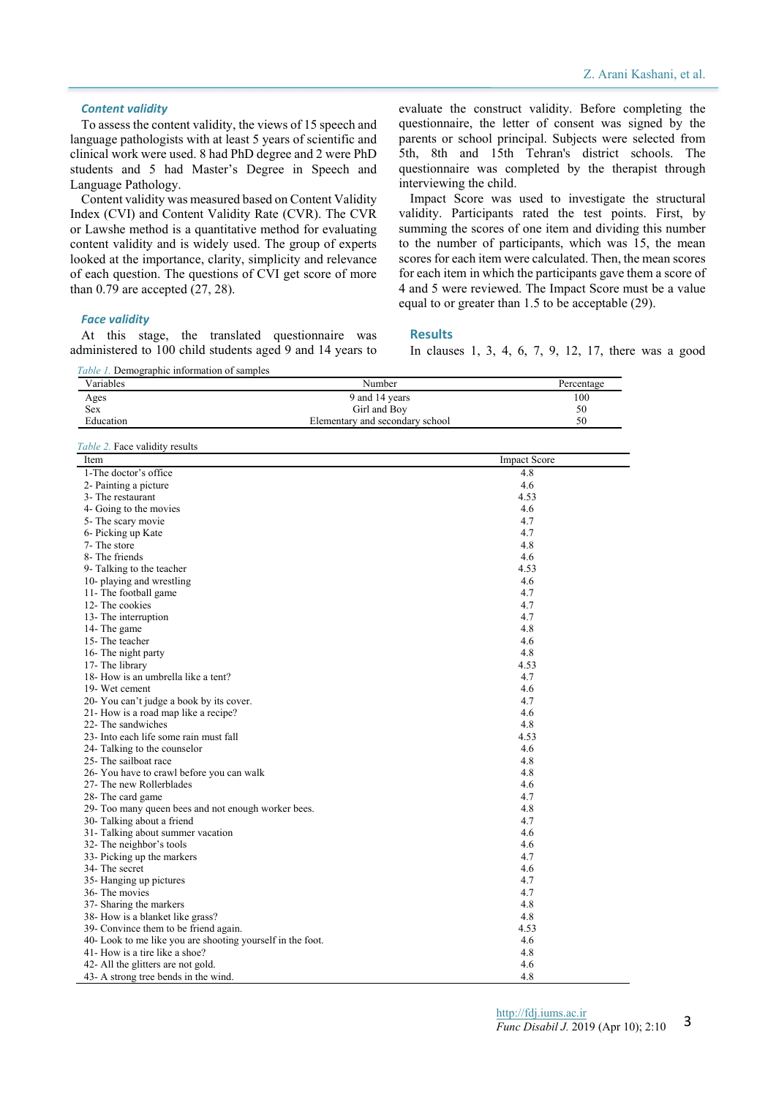# *Content validity*

*Face validity* 

To assess the content validity, the views of 15 speech and language pathologists with at least 5 years of scientific and clinical work were used. 8 had PhD degree and 2 were PhD students and 5 had Master's Degree in Speech and Language Pathology.

Content validity was measured based on Content Validity Index (CVI) and Content Validity Rate (CVR). The CVR or Lawshe method is a quantitative method for evaluating content validity and is widely used. The group of experts looked at the importance, clarity, simplicity and relevance of each question. The questions of CVI get score of more than 0.79 are accepted (27, 28).

At this stage, the translated questionnaire was administered to 100 child students aged 9 and 14 years to evaluate the construct validity. Before completing the questionnaire, the letter of consent was signed by the parents or school principal. Subjects were selected from 5th, 8th and 15th Tehran's district schools. The questionnaire was completed by the therapist through interviewing the child.

Impact Score was used to investigate the structural validity. Participants rated the test points. First, by summing the scores of one item and dividing this number to the number of participants, which was 15, the mean scores for each item were calculated. Then, the mean scores for each item in which the participants gave them a score of 4 and 5 were reviewed. The Impact Score must be a value equal to or greater than 1.5 to be acceptable (29).

# **Results**

In clauses 1, 3, 4, 6, 7, 9, 12, 17, there was a good

| Variables | Number                          | Percentage |
|-----------|---------------------------------|------------|
| Ages      | 9 and 14 years                  | 100        |
| Sex       | Girl and Boy                    | 50         |
| Education | Elementary and secondary school | 50         |

| Table 2. Face validity results                             |                     |
|------------------------------------------------------------|---------------------|
| Item                                                       | <b>Impact Score</b> |
| 1-The doctor's office                                      | 4.8                 |
| 2- Painting a picture                                      | 4.6                 |
| 3- The restaurant                                          | 4.53                |
| 4- Going to the movies                                     | 4.6                 |
| 5- The scary movie                                         | 4.7                 |
| 6- Picking up Kate                                         | 4.7                 |
| 7- The store                                               | 4.8                 |
| 8- The friends                                             | 4.6                 |
| 9- Talking to the teacher                                  | 4.53                |
| 10- playing and wrestling                                  | 4.6                 |
| 11- The football game                                      | 4.7                 |
| 12- The cookies                                            | 4.7                 |
| 13- The interruption                                       | 4.7                 |
| 14- The game                                               | 4.8                 |
| 15- The teacher                                            | 4.6                 |
| 16- The night party                                        | 4.8                 |
| 17- The library                                            | 4.53                |
| 18- How is an umbrella like a tent?                        | 4.7                 |
| 19- Wet cement                                             | 4.6                 |
| 20- You can't judge a book by its cover.                   | 4.7                 |
| 21- How is a road map like a recipe?                       | 4.6                 |
| 22- The sandwiches                                         | 4.8                 |
| 23- Into each life some rain must fall                     | 4.53                |
| 24- Talking to the counselor                               | 4.6                 |
| 25- The sailboat race                                      | 4.8                 |
| 26- You have to crawl before you can walk                  | 4.8                 |
| 27- The new Rollerblades                                   | 4.6                 |
| 28- The card game                                          | 4.7                 |
| 29- Too many queen bees and not enough worker bees.        | 4.8                 |
| 30- Talking about a friend                                 | 4.7                 |
| 31- Talking about summer vacation                          | 4.6                 |
| 32- The neighbor's tools                                   | 4.6                 |
| 33- Picking up the markers                                 | 4.7                 |
| 34- The secret                                             | 4.6                 |
| 35- Hanging up pictures                                    | 4.7                 |
| 36- The movies                                             | 4.7                 |
| 37- Sharing the markers                                    | 4.8                 |
| 38- How is a blanket like grass?                           | 4.8                 |
| 39- Convince them to be friend again.                      | 4.53                |
| 40- Look to me like you are shooting yourself in the foot. | 4.6                 |
| 41- How is a tire like a shoe?                             | 4.8                 |
| 42- All the glitters are not gold.                         | 4.6                 |
| 43- A strong tree bends in the wind.                       | 4.8                 |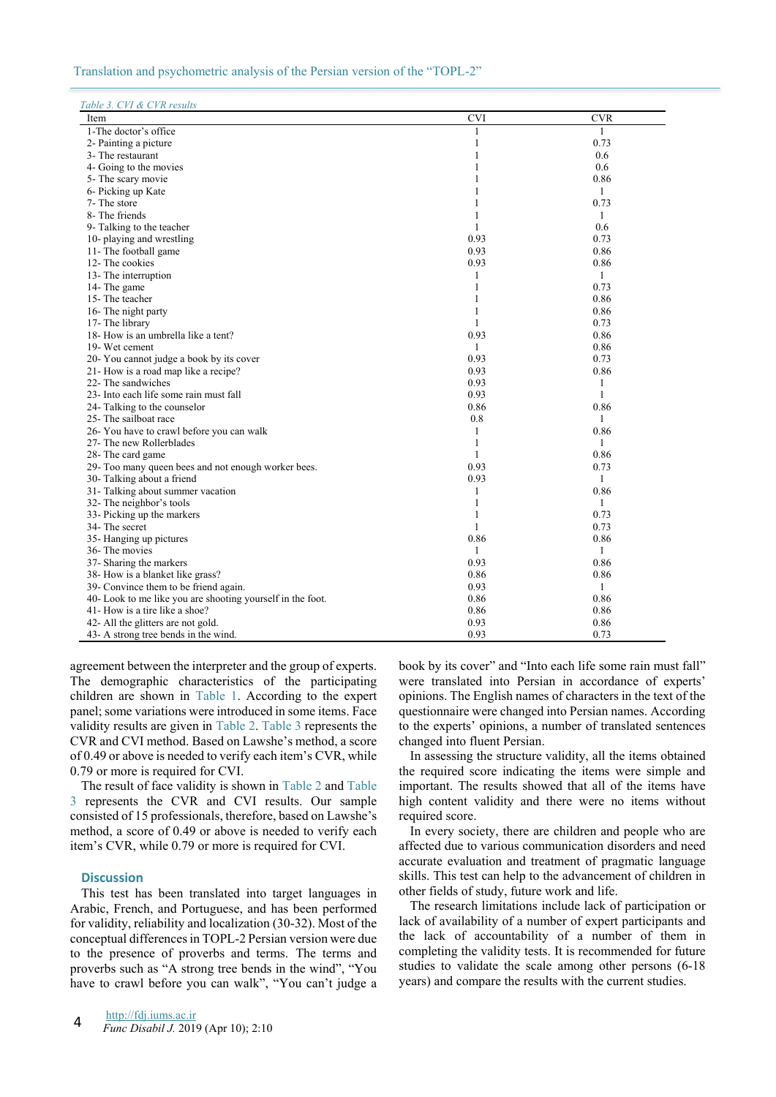| Table 3. CVI & CVR results                                |              |              |  |  |
|-----------------------------------------------------------|--------------|--------------|--|--|
| Item                                                      | <b>CVI</b>   | <b>CVR</b>   |  |  |
| 1-The doctor's office                                     | $\mathbf{1}$ | 1            |  |  |
| 2- Painting a picture                                     | 1            | 0.73         |  |  |
| 3- The restaurant                                         | 1            | 0.6          |  |  |
| 4- Going to the movies                                    | 1            | 0.6          |  |  |
| 5- The scary movie                                        | 1            | 0.86         |  |  |
| 6- Picking up Kate                                        | 1            | 1            |  |  |
| 7- The store                                              | 1            | 0.73         |  |  |
| 8- The friends                                            | 1            | 1            |  |  |
| 9- Talking to the teacher                                 | 1            | 0.6          |  |  |
| 10- playing and wrestling                                 | 0.93         | 0.73         |  |  |
| 11- The football game                                     | 0.93         | 0.86         |  |  |
| 12- The cookies                                           | 0.93         | 0.86         |  |  |
| 13- The interruption                                      | 1            | 1            |  |  |
| 14- The game                                              | 1            | 0.73         |  |  |
| 15- The teacher                                           | 1            | 0.86         |  |  |
| 16- The night party                                       | 1            | 0.86         |  |  |
| 17- The library                                           | 1            | 0.73         |  |  |
| 18- How is an umbrella like a tent?                       | 0.93         | 0.86         |  |  |
| 19- Wet cement                                            | 1            | 0.86         |  |  |
| 20- You cannot judge a book by its cover                  | 0.93         | 0.73         |  |  |
| 21- How is a road map like a recipe?                      | 0.93         | 0.86         |  |  |
| 22- The sandwiches                                        | 0.93         | 1            |  |  |
| 23- Into each life some rain must fall                    | 0.93         | 1            |  |  |
| 24- Talking to the counselor                              | 0.86         | 0.86         |  |  |
| 25- The sailboat race                                     | 0.8          | $\mathbf{1}$ |  |  |
| 26- You have to crawl before you can walk                 | 1            | 0.86         |  |  |
| 27- The new Rollerblades                                  | 1            | 1            |  |  |
| 28- The card game                                         | 1            | 0.86         |  |  |
| 29- Too many queen bees and not enough worker bees.       | 0.93         | 0.73         |  |  |
| 30- Talking about a friend                                | 0.93         | 1            |  |  |
| 31- Talking about summer vacation                         | 1            | 0.86         |  |  |
| 32- The neighbor's tools                                  | 1            | 1            |  |  |
| 33- Picking up the markers                                | 1            | 0.73         |  |  |
| 34- The secret                                            | 1            | 0.73         |  |  |
| 35-Hanging up pictures                                    | 0.86         | 0.86         |  |  |
| 36- The movies                                            | 1            | 1            |  |  |
| 37- Sharing the markers                                   | 0.93         | 0.86         |  |  |
| 38- How is a blanket like grass?                          | 0.86         | 0.86         |  |  |
| 39- Convince them to be friend again.                     | 0.93         | $\mathbf{1}$ |  |  |
| 40-Look to me like you are shooting yourself in the foot. | 0.86         | 0.86         |  |  |
| 41- How is a tire like a shoe?                            | 0.86         | 0.86         |  |  |
| 42- All the glitters are not gold.                        | 0.93         | 0.86         |  |  |
| 43- A strong tree bends in the wind.                      | 0.93         | 0.73         |  |  |

agreement between the interpreter and the group of experts. The demographic characteristics of the participating children are shown in Table 1. According to the expert panel; some variations were introduced in some items. Face validity results are given in Table 2. Table 3 represents the CVR and CVI method. Based on Lawshe's method, a score of 0.49 or above is needed to verify each item's CVR, while 0.79 or more is required for CVI.

The result of face validity is shown in Table 2 and Table 3 represents the CVR and CVI results. Our sample consisted of 15 professionals, therefore, based on Lawshe's method, a score of 0.49 or above is needed to verify each item's CVR, while 0.79 or more is required for CVI.

## **Discussion**

This test has been translated into target languages in Arabic, French, and Portuguese, and has been performed for validity, reliability and localization (30-32). Most of the conceptual differences in TOPL-2 Persian version were due to the presence of proverbs and terms. The terms and proverbs such as "A strong tree bends in the wind", "You have to crawl before you can walk", "You can't judge a book by its cover" and "Into each life some rain must fall" were translated into Persian in accordance of experts' opinions. The English names of characters in the text of the questionnaire were changed into Persian names. According to the experts' opinions, a number of translated sentences changed into fluent Persian.

In assessing the structure validity, all the items obtained the required score indicating the items were simple and important. The results showed that all of the items have high content validity and there were no items without required score.

In every society, there are children and people who are affected due to various communication disorders and need accurate evaluation and treatment of pragmatic language skills. This test can help to the advancement of children in other fields of study, future work and life.

The research limitations include lack of participation or lack of availability of a number of expert participants and the lack of accountability of a number of them in completing the validity tests. It is recommended for future studies to validate the scale among other persons (6-18 years) and compare the results with the current studies.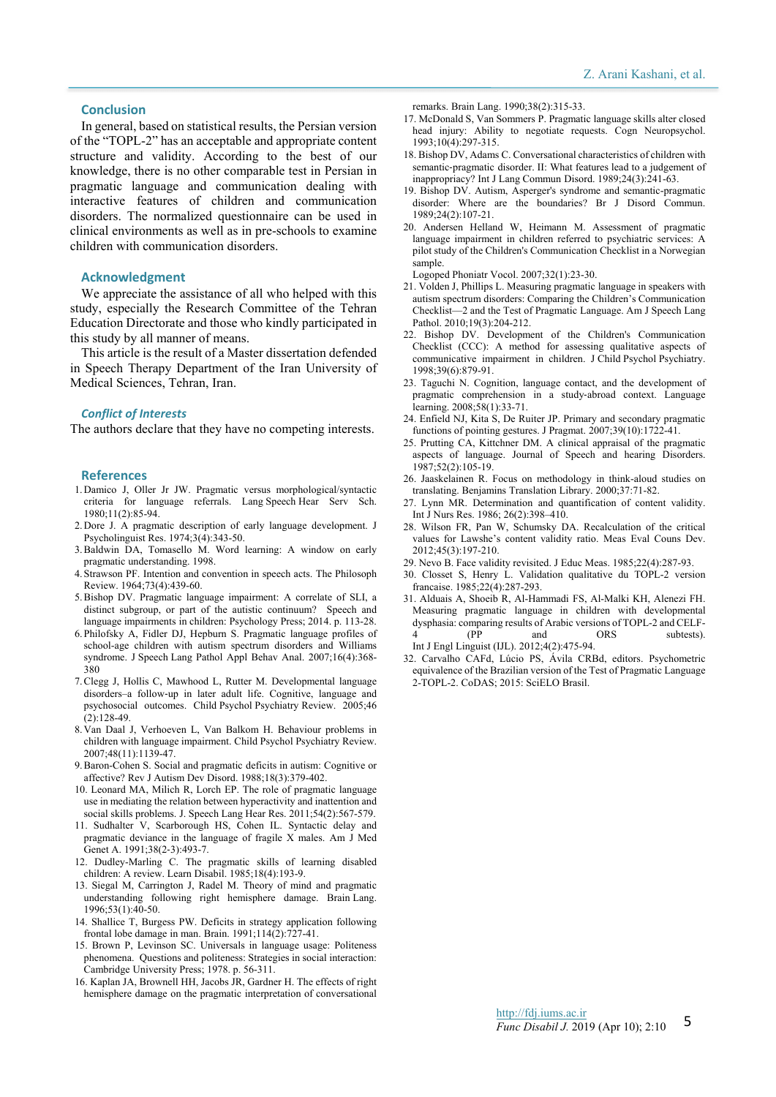# **Conclusion**

In general, based on statistical results, the Persian version of the "TOPL-2" has an acceptable and appropriate content structure and validity. According to the best of our knowledge, there is no other comparable test in Persian in pragmatic language and communication dealing with interactive features of children and communication disorders. The normalized questionnaire can be used in clinical environments as well as in pre-schools to examine children with communication disorders.

## **Acknowledgment**

We appreciate the assistance of all who helped with this study, especially the Research Committee of the Tehran Education Directorate and those who kindly participated in this study by all manner of means.

This article is the result of a Master dissertation defended in Speech Therapy Department of the Iran University of Medical Sciences, Tehran, Iran.

#### *Conflict of Interests*

The authors declare that they have no competing interests.

#### **References**

- 1. Damico J, Oller Jr JW. Pragmatic versus morphological/syntactic criteria for language referrals. Lang Speech Hear Serv Sch. 1980;11(2):85-94.
- 2. Dore J. A pragmatic description of early language development. J Psycholinguist Res. 1974;3(4):343-50.
- 3. Baldwin DA, Tomasello M. Word learning: A window on early pragmatic understanding. 1998.
- 4. Strawson PF. Intention and convention in speech acts. The Philosoph Review. 1964;73(4):439-60.
- 5. Bishop DV. Pragmatic language impairment: A correlate of SLI, a distinct subgroup, or part of the autistic continuum? Speech and language impairments in children: Psychology Press; 2014. p. 113-28.
- 6. Philofsky A, Fidler DJ, Hepburn S. Pragmatic language profiles of school-age children with autism spectrum disorders and Williams syndrome. J Speech Lang Pathol Appl Behav Anal. 2007;16(4):368- 380
- 7. Clegg J, Hollis C, Mawhood L, Rutter M. Developmental language disorders–a follow‐up in later adult life. Cognitive, language and psychosocial outcomes. Child Psychol Psychiatry Review. 2005;46  $(2):128-49$ .
- 8. Van Daal J, Verhoeven L, Van Balkom H. Behaviour problems in children with language impairment. Child Psychol Psychiatry Review. 2007;48(11):1139-47.
- 9. Baron-Cohen S. Social and pragmatic deficits in autism: Cognitive or affective? Rev J Autism Dev Disord. 1988;18(3):379-402.
- 10. Leonard MA, Milich R, Lorch EP. The role of pragmatic language use in mediating the relation between hyperactivity and inattention and social skills problems. J. Speech Lang Hear Res. 2011;54(2):567-579.
- 11. Sudhalter V, Scarborough HS, Cohen IL. Syntactic delay and pragmatic deviance in the language of fragile X males. Am J Med Genet A. 1991;38(2-3):493-7.
- 12. Dudley-Marling C. The pragmatic skills of learning disabled children: A review. Learn Disabil. 1985;18(4):193-9.
- 13. Siegal M, Carrington J, Radel M. Theory of mind and pragmatic understanding following right hemisphere damage. Brain Lang. 1996;53(1):40-50.
- 14. Shallice T, Burgess PW. Deficits in strategy application following frontal lobe damage in man. Brain.  $1991;114(2):727-41$ .
- 15. Brown P, Levinson SC. Universals in language usage: Politeness phenomena. Questions and politeness: Strategies in social interaction: Cambridge University Press; 1978. p. 56-311.
- 16. Kaplan JA, Brownell HH, Jacobs JR, Gardner H. The effects of right hemisphere damage on the pragmatic interpretation of conversational

remarks. Brain Lang. 1990;38(2):315-33.

- 17. McDonald S, Van Sommers P. Pragmatic language skills alter closed head injury: Ability to negotiate requests. Cogn Neuropsychol. 1993;10(4):297-315.
- 18. Bishop DV, Adams C. Conversational characteristics of children with semantic-pragmatic disorder. II: What features lead to a judgement of inappropriacy? Int J Lang Commun Disord. 1989;24(3):241-63.
- 19. Bishop DV. Autism, Asperger's syndrome and semantic-pragmatic disorder: Where are the boundaries? Br J Disord Commun. 1989;24(2):107-21.
- 20. Andersen Helland W, Heimann M. Assessment of pragmatic language impairment in children referred to psychiatric services: A pilot study of the Children's Communication Checklist in a Norwegian sample.

Logoped Phoniatr Vocol. 2007;32(1):23-30.

- 21. Volden J, Phillips L. Measuring pragmatic language in speakers with autism spectrum disorders: Comparing the Children's Communication Checklist—2 and the Test of Pragmatic Language. Am J Speech Lang Pathol. 2010;19(3):204-212.
- 22. Bishop DV. Development of the Children's Communication Checklist (CCC): A method for assessing qualitative aspects of communicative impairment in children. J Child Psychol Psychiatry. 1998;39(6):879-91.
- 23. Taguchi N. Cognition, language contact, and the development of pragmatic comprehension in a study‐abroad context. Language learning. 2008;58(1):33-71.
- 24. Enfield NJ, Kita S, De Ruiter JP. Primary and secondary pragmatic functions of pointing gestures. J Pragmat. 2007;39(10):1722-41.
- 25. Prutting CA, Kittchner DM. A clinical appraisal of the pragmatic aspects of language. Journal of Speech and hearing Disorders. 1987;52(2):105-19.
- 26. Jaaskelainen R. Focus on methodology in think-aloud studies on translating. Benjamins Translation Library. 2000;37:71-82.
- 27. Lynn MR. Determination and quantification of content validity. Int J Nurs Res. 1986; 26(2):398–410.
- 28. Wilson FR, Pan W, Schumsky DA. Recalculation of the critical values for Lawshe's content validity ratio. Meas Eval Couns Dev. 2012;45(3):197-210.
- 29. Nevo B. Face validity revisited. J Educ Meas. 1985;22(4):287-93.
- 30. Closset S, Henry L. Validation qualitative du TOPL-2 version francaise. 1985;22(4):287-293.
- 31. Alduais A, Shoeib R, Al-Hammadi FS, Al-Malki KH, Alenezi FH. Measuring pragmatic language in children with developmental dysphasia: comparing results of Arabic versions of TOPL-2 and CELF-4 (PP and ORS subtests). Int J Engl Linguist (IJL). 2012;4(2):475-94.
- 32. Carvalho CAFd, Lúcio PS, Ávila CRBd, editors. Psychometric
- equivalence of the Brazilian version of the Test of Pragmatic Language 2-TOPL-2. CoDAS; 2015: SciELO Brasil.